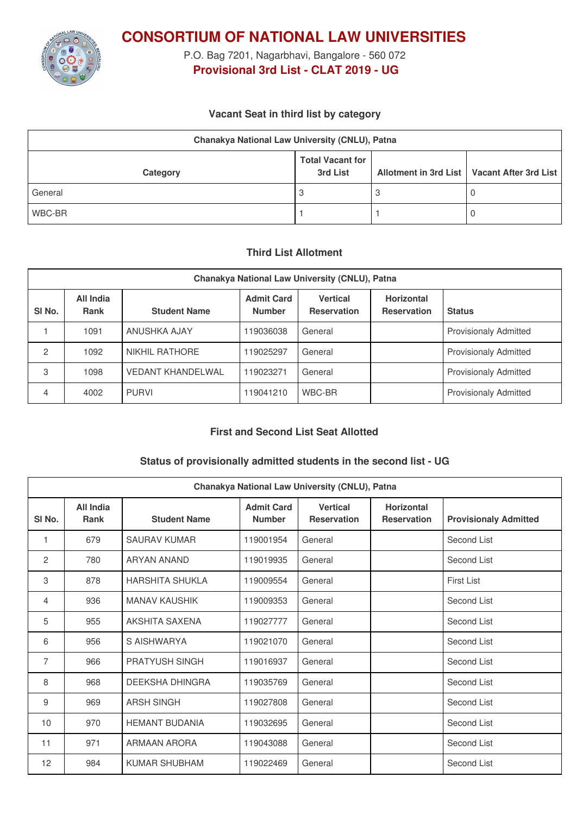

**CONSORTIUM OF NATIONAL LAW UNIVERSITIES**

P.O. Bag 7201, Nagarbhavi, Bangalore - 560 072 **Provisional 3rd List - CLAT 2019 - UG**

## **Vacant Seat in third list by category**

| Chanakya National Law University (CNLU), Patna |                                     |  |                                               |  |  |
|------------------------------------------------|-------------------------------------|--|-----------------------------------------------|--|--|
| Category                                       | <b>Total Vacant for</b><br>3rd List |  | Allotment in 3rd List   Vacant After 3rd List |  |  |
| General                                        | 3                                   |  | U                                             |  |  |
| WBC-BR                                         |                                     |  | U                                             |  |  |

### **Third List Allotment**

| Chanakya National Law University (CNLU), Patna |                          |                          |                                    |                                |                                         |                              |  |
|------------------------------------------------|--------------------------|--------------------------|------------------------------------|--------------------------------|-----------------------------------------|------------------------------|--|
| SI <sub>No.</sub>                              | All India<br><b>Rank</b> | <b>Student Name</b>      | <b>Admit Card</b><br><b>Number</b> | Vertical<br><b>Reservation</b> | <b>Horizontal</b><br><b>Reservation</b> | <b>Status</b>                |  |
|                                                | 1091                     | ANUSHKA AJAY             | 19036038                           | General                        |                                         | <b>Provisionaly Admitted</b> |  |
| 2                                              | 1092                     | NIKHIL RATHORE           | 19025297                           | General                        |                                         | <b>Provisionaly Admitted</b> |  |
| 3                                              | 1098                     | <b>VEDANT KHANDELWAL</b> | 119023271                          | General                        |                                         | <b>Provisionaly Admitted</b> |  |
| 4                                              | 4002                     | <b>PURVI</b>             | 19041210                           | WBC-BR                         |                                         | <b>Provisionaly Admitted</b> |  |

# **First and Second List Seat Allotted**

# **Status of provisionally admitted students in the second list - UG**

| Chanakya National Law University (CNLU), Patna |                          |                       |                                    |                                       |                                         |                              |  |
|------------------------------------------------|--------------------------|-----------------------|------------------------------------|---------------------------------------|-----------------------------------------|------------------------------|--|
| SI <sub>No.</sub>                              | All India<br><b>Rank</b> | <b>Student Name</b>   | <b>Admit Card</b><br><b>Number</b> | <b>Vertical</b><br><b>Reservation</b> | <b>Horizontal</b><br><b>Reservation</b> | <b>Provisionaly Admitted</b> |  |
| 1                                              | 679                      | <b>SAURAV KUMAR</b>   | 119001954                          | General                               |                                         | Second List                  |  |
| 2                                              | 780                      | ARYAN ANAND           | 119019935                          | General                               |                                         | Second List                  |  |
| 3                                              | 878                      | HARSHITA SHUKI A      | 119009554                          | General                               |                                         | <b>First List</b>            |  |
| 4                                              | 936                      | <b>MANAV KAUSHIK</b>  | 119009353                          | General                               |                                         | Second List                  |  |
| 5                                              | 955                      | AKSHITA SAXENA        | 119027777                          | General                               |                                         | Second List                  |  |
| 6                                              | 956                      | S AISHWARYA           | 119021070                          | General                               |                                         | Second List                  |  |
| 7                                              | 966                      | <b>PRATYUSH SINGH</b> | 119016937                          | General                               |                                         | Second List                  |  |
| 8                                              | 968                      | DEEKSHA DHINGRA       | 119035769                          | General                               |                                         | Second List                  |  |
| 9                                              | 969                      | <b>ARSH SINGH</b>     | 119027808                          | General                               |                                         | Second List                  |  |
| 10                                             | 970                      | <b>HEMANT BUDANIA</b> | 119032695                          | General                               |                                         | Second List                  |  |
| 11                                             | 971                      | ARMAAN ARORA          | 119043088                          | General                               |                                         | Second List                  |  |
| 12                                             | 984                      | <b>KUMAR SHUBHAM</b>  | 119022469                          | General                               |                                         | Second List                  |  |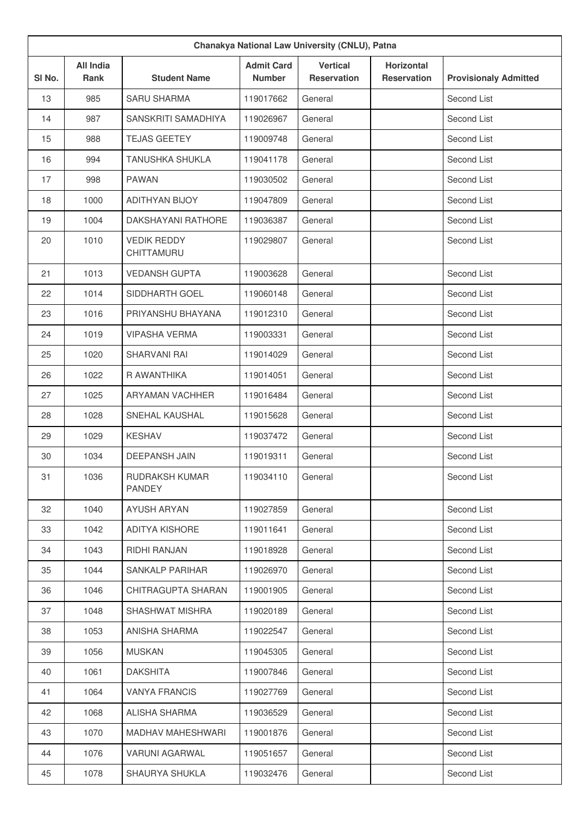| Chanakya National Law University (CNLU), Patna |                                 |                                  |                                    |                                       |                                         |                              |
|------------------------------------------------|---------------------------------|----------------------------------|------------------------------------|---------------------------------------|-----------------------------------------|------------------------------|
| SI No.                                         | <b>All India</b><br><b>Rank</b> | <b>Student Name</b>              | <b>Admit Card</b><br><b>Number</b> | <b>Vertical</b><br><b>Reservation</b> | <b>Horizontal</b><br><b>Reservation</b> | <b>Provisionaly Admitted</b> |
| 13                                             | 985                             | <b>SARU SHARMA</b>               | 119017662                          | General                               |                                         | Second List                  |
| 14                                             | 987                             | SANSKRITI SAMADHIYA              | 119026967                          | General                               |                                         | Second List                  |
| 15                                             | 988                             | <b>TEJAS GEETEY</b>              | 119009748                          | General                               |                                         | Second List                  |
| 16                                             | 994                             | <b>TANUSHKA SHUKLA</b>           | 119041178                          | General                               |                                         | Second List                  |
| 17                                             | 998                             | <b>PAWAN</b>                     | 119030502                          | General                               |                                         | Second List                  |
| 18                                             | 1000                            | <b>ADITHYAN BIJOY</b>            | 119047809                          | General                               |                                         | Second List                  |
| 19                                             | 1004                            | DAKSHAYANI RATHORE               | 119036387                          | General                               |                                         | Second List                  |
| 20                                             | 1010                            | <b>VEDIK REDDY</b><br>CHITTAMURU | 119029807                          | General                               |                                         | Second List                  |
| 21                                             | 1013                            | <b>VEDANSH GUPTA</b>             | 119003628                          | General                               |                                         | Second List                  |
| 22                                             | 1014                            | SIDDHARTH GOEL                   | 119060148                          | General                               |                                         | Second List                  |
| 23                                             | 1016                            | PRIYANSHU BHAYANA                | 119012310                          | General                               |                                         | Second List                  |
| 24                                             | 1019                            | <b>VIPASHA VERMA</b>             | 119003331                          | General                               |                                         | Second List                  |
| 25                                             | 1020                            | <b>SHARVANI RAI</b>              | 119014029                          | General                               |                                         | Second List                  |
| 26                                             | 1022                            | R AWANTHIKA                      | 119014051                          | General                               |                                         | Second List                  |
| 27                                             | 1025                            | <b>ARYAMAN VACHHER</b>           | 119016484                          | General                               |                                         | Second List                  |
| 28                                             | 1028                            | <b>SNEHAL KAUSHAL</b>            | 119015628                          | General                               |                                         | Second List                  |
| 29                                             | 1029                            | <b>KESHAV</b>                    | 119037472                          | General                               |                                         | Second List                  |
| 30                                             | 1034                            | <b>DEEPANSH JAIN</b>             | 119019311                          | General                               |                                         | Second List                  |
| 31                                             | 1036                            | RUDRAKSH KUMAR<br><b>PANDEY</b>  | 119034110                          | General                               |                                         | Second List                  |
| 32                                             | 1040                            | <b>AYUSH ARYAN</b>               | 119027859                          | General                               |                                         | Second List                  |
| 33                                             | 1042                            | <b>ADITYA KISHORE</b>            | 119011641                          | General                               |                                         | Second List                  |
| 34                                             | 1043                            | RIDHI RANJAN                     | 119018928                          | General                               |                                         | Second List                  |
| 35                                             | 1044                            | <b>SANKALP PARIHAR</b>           | 119026970                          | General                               |                                         | Second List                  |
| 36                                             | 1046                            | CHITRAGUPTA SHARAN               | 119001905                          | General                               |                                         | Second List                  |
| 37                                             | 1048                            | SHASHWAT MISHRA                  | 119020189                          | General                               |                                         | Second List                  |
| 38                                             | 1053                            | ANISHA SHARMA                    | 119022547                          | General                               |                                         | Second List                  |
| 39                                             | 1056                            | <b>MUSKAN</b>                    | 119045305                          | General                               |                                         | Second List                  |
| 40                                             | 1061                            | <b>DAKSHITA</b>                  | 119007846                          | General                               |                                         | Second List                  |
| 41                                             | 1064                            | <b>VANYA FRANCIS</b>             | 119027769                          | General                               |                                         | Second List                  |
| 42                                             | 1068                            | ALISHA SHARMA                    | 119036529                          | General                               |                                         | Second List                  |
| 43                                             | 1070                            | MADHAV MAHESHWARI                | 119001876                          | General                               |                                         | Second List                  |
| 44                                             | 1076                            | <b>VARUNI AGARWAL</b>            | 119051657                          | General                               |                                         | Second List                  |
| 45                                             | 1078                            | SHAURYA SHUKLA                   | 119032476                          | General                               |                                         | Second List                  |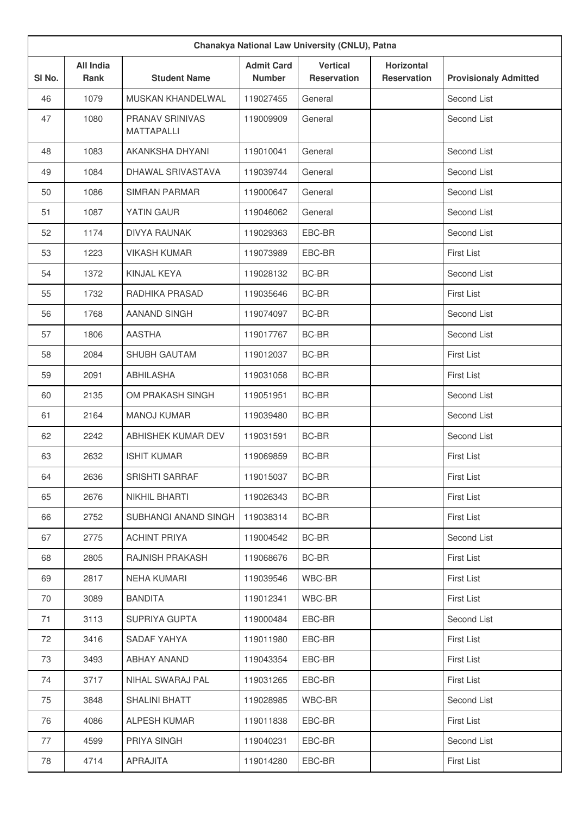| Chanakya National Law University (CNLU), Patna |                                 |                                      |                                    |                                       |                                         |                              |
|------------------------------------------------|---------------------------------|--------------------------------------|------------------------------------|---------------------------------------|-----------------------------------------|------------------------------|
| SI No.                                         | <b>All India</b><br><b>Rank</b> | <b>Student Name</b>                  | <b>Admit Card</b><br><b>Number</b> | <b>Vertical</b><br><b>Reservation</b> | <b>Horizontal</b><br><b>Reservation</b> | <b>Provisionaly Admitted</b> |
| 46                                             | 1079                            | MUSKAN KHANDELWAL                    | 119027455                          | General                               |                                         | Second List                  |
| 47                                             | 1080                            | PRANAV SRINIVAS<br><b>MATTAPALLI</b> | 119009909                          | General                               |                                         | Second List                  |
| 48                                             | 1083                            | AKANKSHA DHYANI                      | 119010041                          | General                               |                                         | Second List                  |
| 49                                             | 1084                            | DHAWAL SRIVASTAVA                    | 119039744                          | General                               |                                         | Second List                  |
| 50                                             | 1086                            | <b>SIMRAN PARMAR</b>                 | 119000647                          | General                               |                                         | Second List                  |
| 51                                             | 1087                            | YATIN GAUR                           | 119046062                          | General                               |                                         | Second List                  |
| 52                                             | 1174                            | <b>DIVYA RAUNAK</b>                  | 119029363                          | EBC-BR                                |                                         | Second List                  |
| 53                                             | 1223                            | <b>VIKASH KUMAR</b>                  | 119073989                          | EBC-BR                                |                                         | <b>First List</b>            |
| 54                                             | 1372                            | KINJAL KEYA                          | 119028132                          | BC-BR                                 |                                         | Second List                  |
| 55                                             | 1732                            | RADHIKA PRASAD                       | 119035646                          | BC-BR                                 |                                         | <b>First List</b>            |
| 56                                             | 1768                            | <b>AANAND SINGH</b>                  | 119074097                          | <b>BC-BR</b>                          |                                         | Second List                  |
| 57                                             | 1806                            | <b>AASTHA</b>                        | 119017767                          | BC-BR                                 |                                         | Second List                  |
| 58                                             | 2084                            | <b>SHUBH GAUTAM</b>                  | 119012037                          | BC-BR                                 |                                         | <b>First List</b>            |
| 59                                             | 2091                            | <b>ABHILASHA</b>                     | 119031058                          | BC-BR                                 |                                         | <b>First List</b>            |
| 60                                             | 2135                            | OM PRAKASH SINGH                     | 119051951                          | <b>BC-BR</b>                          |                                         | Second List                  |
| 61                                             | 2164                            | <b>MANOJ KUMAR</b>                   | 119039480                          | BC-BR                                 |                                         | Second List                  |
| 62                                             | 2242                            | ABHISHEK KUMAR DEV                   | 119031591                          | BC-BR                                 |                                         | Second List                  |
| 63                                             | 2632                            | <b>ISHIT KUMAR</b>                   | 119069859                          | BC-BR                                 |                                         | <b>First List</b>            |
| 64                                             | 2636                            | SRISHTI SARRAF                       | 119015037                          | BC-BR                                 |                                         | First List                   |
| 65                                             | 2676                            | NIKHIL BHARTI                        | 119026343                          | BC-BR                                 |                                         | First List                   |
| 66                                             | 2752                            | SUBHANGI ANAND SINGH                 | 119038314                          | BC-BR                                 |                                         | <b>First List</b>            |
| 67                                             | 2775                            | <b>ACHINT PRIYA</b>                  | 119004542                          | BC-BR                                 |                                         | Second List                  |
| 68                                             | 2805                            | RAJNISH PRAKASH                      | 119068676                          | BC-BR                                 |                                         | First List                   |
| 69                                             | 2817                            | <b>NEHA KUMARI</b>                   | 119039546                          | WBC-BR                                |                                         | <b>First List</b>            |
| 70                                             | 3089                            | <b>BANDITA</b>                       | 119012341                          | WBC-BR                                |                                         | First List                   |
| 71                                             | 3113                            | SUPRIYA GUPTA                        | 119000484                          | EBC-BR                                |                                         | Second List                  |
| 72                                             | 3416                            | SADAF YAHYA                          | 119011980                          | EBC-BR                                |                                         | First List                   |
| 73                                             | 3493                            | ABHAY ANAND                          | 119043354                          | EBC-BR                                |                                         | First List                   |
| 74                                             | 3717                            | NIHAL SWARAJ PAL                     | 119031265                          | EBC-BR                                |                                         | First List                   |
| 75                                             | 3848                            | SHALINI BHATT                        | 119028985                          | WBC-BR                                |                                         | Second List                  |
| 76                                             | 4086                            | ALPESH KUMAR                         | 119011838                          | EBC-BR                                |                                         | First List                   |
| 77                                             | 4599                            | PRIYA SINGH                          | 119040231                          | EBC-BR                                |                                         | Second List                  |
| 78                                             | 4714                            | APRAJITA                             | 119014280                          | EBC-BR                                |                                         | First List                   |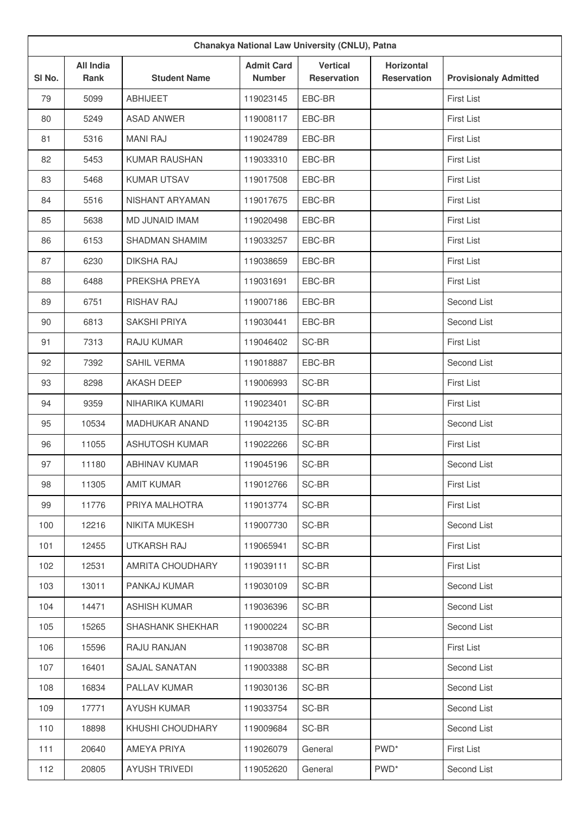| Chanakya National Law University (CNLU), Patna |                                 |                       |                                    |                                       |                                         |                              |
|------------------------------------------------|---------------------------------|-----------------------|------------------------------------|---------------------------------------|-----------------------------------------|------------------------------|
| SI No.                                         | <b>All India</b><br><b>Rank</b> | <b>Student Name</b>   | <b>Admit Card</b><br><b>Number</b> | <b>Vertical</b><br><b>Reservation</b> | <b>Horizontal</b><br><b>Reservation</b> | <b>Provisionaly Admitted</b> |
| 79                                             | 5099                            | <b>ABHIJEET</b>       | 119023145                          | EBC-BR                                |                                         | <b>First List</b>            |
| 80                                             | 5249                            | <b>ASAD ANWER</b>     | 119008117                          | EBC-BR                                |                                         | <b>First List</b>            |
| 81                                             | 5316                            | <b>MANI RAJ</b>       | 119024789                          | EBC-BR                                |                                         | <b>First List</b>            |
| 82                                             | 5453                            | <b>KUMAR RAUSHAN</b>  | 119033310                          | EBC-BR                                |                                         | <b>First List</b>            |
| 83                                             | 5468                            | <b>KUMAR UTSAV</b>    | 119017508                          | EBC-BR                                |                                         | <b>First List</b>            |
| 84                                             | 5516                            | NISHANT ARYAMAN       | 119017675                          | EBC-BR                                |                                         | <b>First List</b>            |
| 85                                             | 5638                            | MD JUNAID IMAM        | 119020498                          | EBC-BR                                |                                         | <b>First List</b>            |
| 86                                             | 6153                            | <b>SHADMAN SHAMIM</b> | 119033257                          | EBC-BR                                |                                         | <b>First List</b>            |
| 87                                             | 6230                            | <b>DIKSHA RAJ</b>     | 119038659                          | EBC-BR                                |                                         | <b>First List</b>            |
| 88                                             | 6488                            | PREKSHA PREYA         | 119031691                          | EBC-BR                                |                                         | <b>First List</b>            |
| 89                                             | 6751                            | <b>RISHAV RAJ</b>     | 119007186                          | EBC-BR                                |                                         | Second List                  |
| 90                                             | 6813                            | <b>SAKSHI PRIYA</b>   | 119030441                          | EBC-BR                                |                                         | Second List                  |
| 91                                             | 7313                            | RAJU KUMAR            | 119046402                          | SC-BR                                 |                                         | <b>First List</b>            |
| 92                                             | 7392                            | SAHIL VERMA           | 119018887                          | EBC-BR                                |                                         | Second List                  |
| 93                                             | 8298                            | <b>AKASH DEEP</b>     | 119006993                          | SC-BR                                 |                                         | <b>First List</b>            |
| 94                                             | 9359                            | NIHARIKA KUMARI       | 119023401                          | SC-BR                                 |                                         | <b>First List</b>            |
| 95                                             | 10534                           | MADHUKAR ANAND        | 119042135                          | SC-BR                                 |                                         | Second List                  |
| 96                                             | 11055                           | <b>ASHUTOSH KUMAR</b> | 119022266                          | SC-BR                                 |                                         | <b>First List</b>            |
| 97                                             | 11180                           | <b>ABHINAV KUMAR</b>  | 119045196                          | SC-BR                                 |                                         | Second List                  |
| 98                                             | 11305                           | <b>AMIT KUMAR</b>     | 119012766                          | SC-BR                                 |                                         | <b>First List</b>            |
| 99                                             | 11776                           | PRIYA MALHOTRA        | 119013774                          | SC-BR                                 |                                         | First List                   |
| 100                                            | 12216                           | NIKITA MUKESH         | 119007730                          | SC-BR                                 |                                         | Second List                  |
| 101                                            | 12455                           | UTKARSH RAJ           | 119065941                          | SC-BR                                 |                                         | <b>First List</b>            |
| 102                                            | 12531                           | AMRITA CHOUDHARY      | 119039111                          | SC-BR                                 |                                         | <b>First List</b>            |
| 103                                            | 13011                           | PANKAJ KUMAR          | 119030109                          | SC-BR                                 |                                         | Second List                  |
| 104                                            | 14471                           | <b>ASHISH KUMAR</b>   | 119036396                          | SC-BR                                 |                                         | Second List                  |
| 105                                            | 15265                           | SHASHANK SHEKHAR      | 119000224                          | SC-BR                                 |                                         | Second List                  |
| 106                                            | 15596                           | RAJU RANJAN           | 119038708                          | SC-BR                                 |                                         | <b>First List</b>            |
| 107                                            | 16401                           | SAJAL SANATAN         | 119003388                          | SC-BR                                 |                                         | Second List                  |
| 108                                            | 16834                           | PALLAV KUMAR          | 119030136                          | SC-BR                                 |                                         | Second List                  |
| 109                                            | 17771                           | <b>AYUSH KUMAR</b>    | 119033754                          | SC-BR                                 |                                         | Second List                  |
| 110                                            | 18898                           | KHUSHI CHOUDHARY      | 119009684                          | SC-BR                                 |                                         | Second List                  |
| 111                                            | 20640                           | AMEYA PRIYA           | 119026079                          | General                               | PWD <sup>*</sup>                        | <b>First List</b>            |
| 112                                            | 20805                           | <b>AYUSH TRIVEDI</b>  | 119052620                          | General                               | PWD <sup>*</sup>                        | Second List                  |